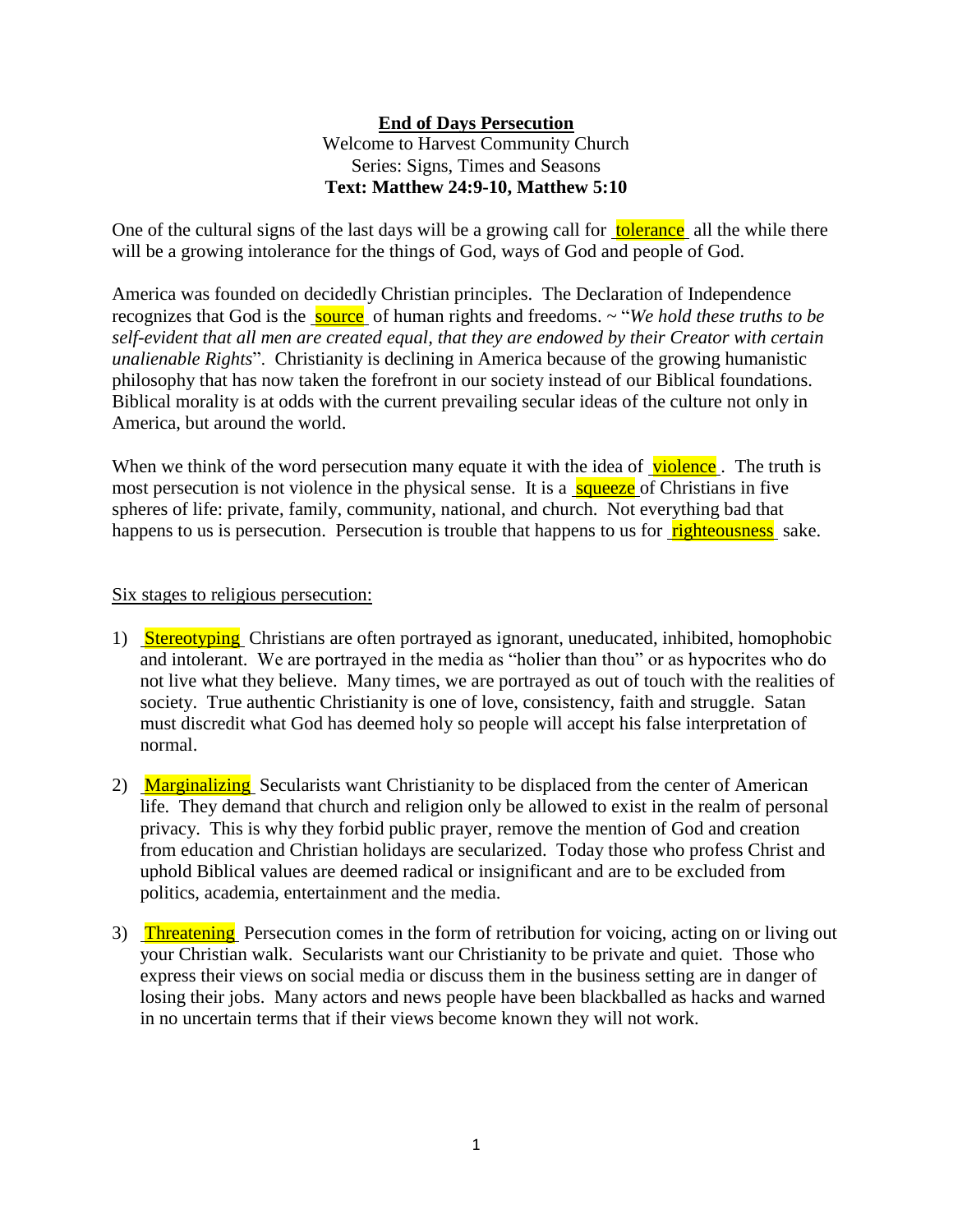## **End of Days Persecution**

## Welcome to Harvest Community Church Series: Signs, Times and Seasons **Text: Matthew 24:9-10, Matthew 5:10**

One of the cultural signs of the last days will be a growing call for **tolerance** all the while there will be a growing intolerance for the things of God, ways of God and people of God.

America was founded on decidedly Christian principles. The Declaration of Independence recognizes that God is the **source** of human rights and freedoms. ~ "*We hold these truths to be self-evident that all men are created equal, that they are endowed by their Creator with certain unalienable Rights*". Christianity is declining in America because of the growing humanistic philosophy that has now taken the forefront in our society instead of our Biblical foundations. Biblical morality is at odds with the current prevailing secular ideas of the culture not only in America, but around the world.

When we think of the word persecution many equate it with the idea of violence. The truth is most persecution is not violence in the physical sense. It is a squeeze of Christians in five spheres of life: private, family, community, national, and church. Not everything bad that happens to us is persecution. Persecution is trouble that happens to us for **righteousness** sake.

## Six stages to religious persecution:

- 1) Stereotyping Christians are often portrayed as ignorant, uneducated, inhibited, homophobic and intolerant. We are portrayed in the media as "holier than thou" or as hypocrites who do not live what they believe. Many times, we are portrayed as out of touch with the realities of society. True authentic Christianity is one of love, consistency, faith and struggle. Satan must discredit what God has deemed holy so people will accept his false interpretation of normal.
- 2) Marginalizing Secularists want Christianity to be displaced from the center of American life. They demand that church and religion only be allowed to exist in the realm of personal privacy. This is why they forbid public prayer, remove the mention of God and creation from education and Christian holidays are secularized. Today those who profess Christ and uphold Biblical values are deemed radical or insignificant and are to be excluded from politics, academia, entertainment and the media.
- 3) Threatening Persecution comes in the form of retribution for voicing, acting on or living out your Christian walk. Secularists want our Christianity to be private and quiet. Those who express their views on social media or discuss them in the business setting are in danger of losing their jobs. Many actors and news people have been blackballed as hacks and warned in no uncertain terms that if their views become known they will not work.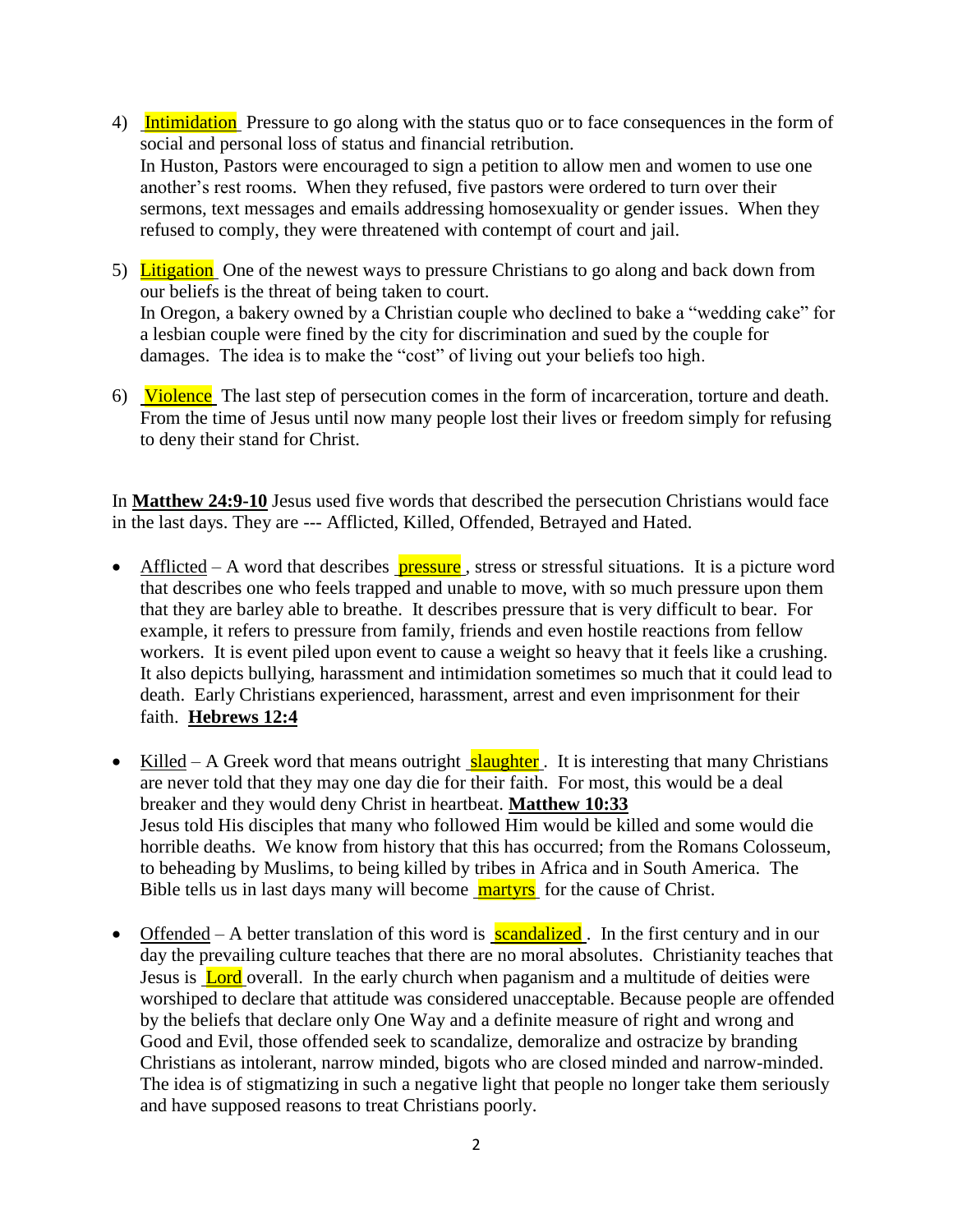- 4) Intimidation Pressure to go along with the status quo or to face consequences in the form of social and personal loss of status and financial retribution. In Huston, Pastors were encouraged to sign a petition to allow men and women to use one another's rest rooms. When they refused, five pastors were ordered to turn over their sermons, text messages and emails addressing homosexuality or gender issues. When they refused to comply, they were threatened with contempt of court and jail.
- 5) Litigation One of the newest ways to pressure Christians to go along and back down from our beliefs is the threat of being taken to court. In Oregon, a bakery owned by a Christian couple who declined to bake a "wedding cake" for a lesbian couple were fined by the city for discrimination and sued by the couple for damages. The idea is to make the "cost" of living out your beliefs too high.
- 6) Violence The last step of persecution comes in the form of incarceration, torture and death. From the time of Jesus until now many people lost their lives or freedom simply for refusing to deny their stand for Christ.

In **Matthew 24:9-10** Jesus used five words that described the persecution Christians would face in the last days. They are --- Afflicted, Killed, Offended, Betrayed and Hated.

- $\bullet$  Afflicted A word that describes **pressure**, stress or stressful situations. It is a picture word that describes one who feels trapped and unable to move, with so much pressure upon them that they are barley able to breathe. It describes pressure that is very difficult to bear. For example, it refers to pressure from family, friends and even hostile reactions from fellow workers. It is event piled upon event to cause a weight so heavy that it feels like a crushing. It also depicts bullying, harassment and intimidation sometimes so much that it could lead to death. Early Christians experienced, harassment, arrest and even imprisonment for their faith. **Hebrews 12:4**
- Killed A Greek word that means outright **slaughter**. It is interesting that many Christians are never told that they may one day die for their faith. For most, this would be a deal breaker and they would deny Christ in heartbeat. **Matthew 10:33** Jesus told His disciples that many who followed Him would be killed and some would die horrible deaths. We know from history that this has occurred; from the Romans Colosseum, to beheading by Muslims, to being killed by tribes in Africa and in South America. The Bible tells us in last days many will become **martyrs** for the cause of Christ.
- Offended A better translation of this word is **scandalized**. In the first century and in our day the prevailing culture teaches that there are no moral absolutes. Christianity teaches that Jesus is Lord overall. In the early church when paganism and a multitude of deities were worshiped to declare that attitude was considered unacceptable. Because people are offended by the beliefs that declare only One Way and a definite measure of right and wrong and Good and Evil, those offended seek to scandalize, demoralize and ostracize by branding Christians as intolerant, narrow minded, bigots who are closed minded and narrow-minded. The idea is of stigmatizing in such a negative light that people no longer take them seriously and have supposed reasons to treat Christians poorly.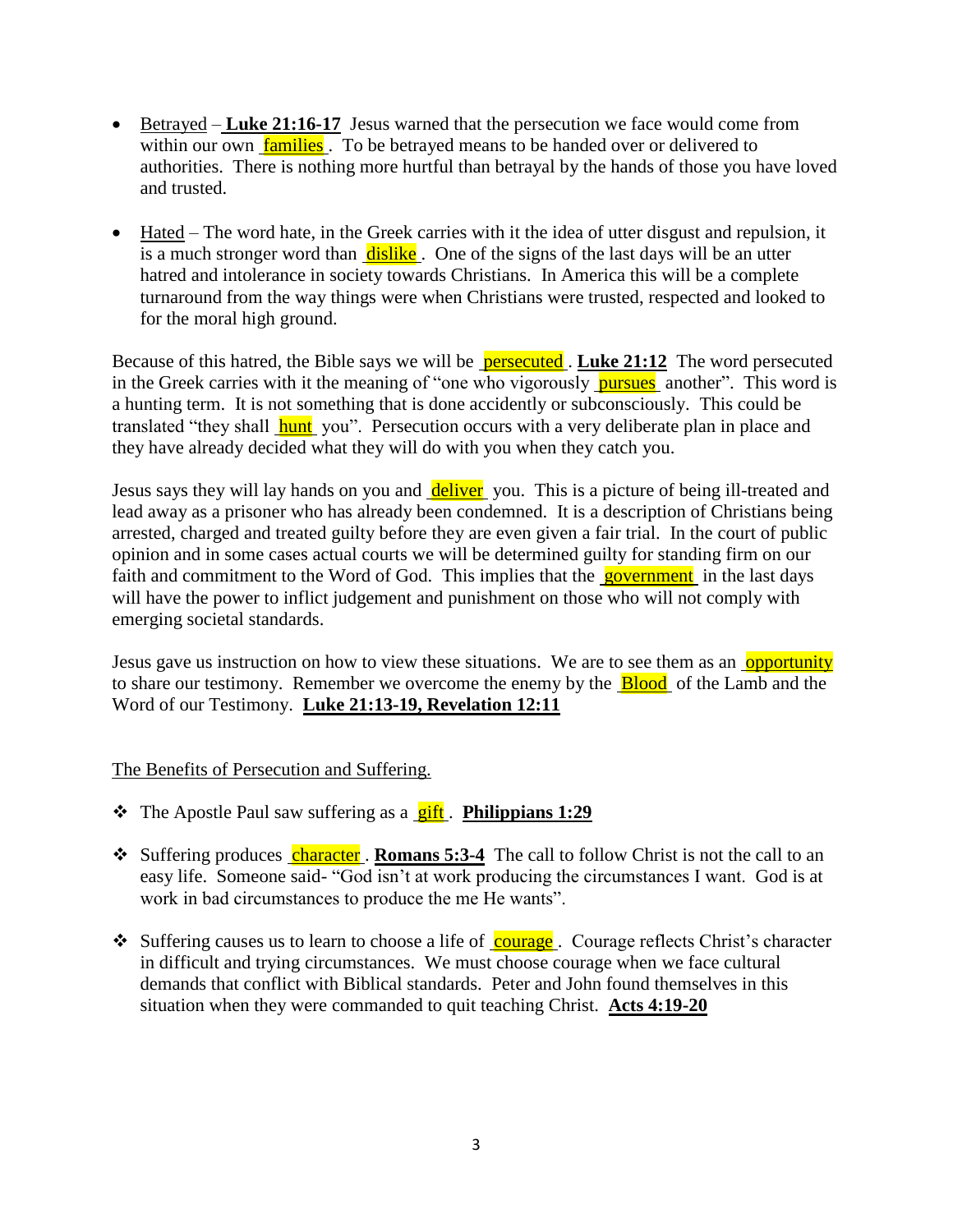- Betrayed **Luke 21:16-17** Jesus warned that the persecution we face would come from within our own **families**. To be betrayed means to be handed over or delivered to authorities. There is nothing more hurtful than betrayal by the hands of those you have loved and trusted.
- Hated The word hate, in the Greek carries with it the idea of utter disgust and repulsion, it is a much stronger word than dislike. One of the signs of the last days will be an utter hatred and intolerance in society towards Christians. In America this will be a complete turnaround from the way things were when Christians were trusted, respected and looked to for the moral high ground.

Because of this hatred, the Bible says we will be persecuted . **Luke 21:12** The word persecuted in the Greek carries with it the meaning of "one who vigorously pursues another". This word is a hunting term. It is not something that is done accidently or subconsciously. This could be translated "they shall **hunt** you". Persecution occurs with a very deliberate plan in place and they have already decided what they will do with you when they catch you.

Jesus says they will lay hands on you and deliver you. This is a picture of being ill-treated and lead away as a prisoner who has already been condemned. It is a description of Christians being arrested, charged and treated guilty before they are even given a fair trial. In the court of public opinion and in some cases actual courts we will be determined guilty for standing firm on our faith and commitment to the Word of God. This implies that the government in the last days will have the power to inflict judgement and punishment on those who will not comply with emerging societal standards.

Jesus gave us instruction on how to view these situations. We are to see them as an opportunity to share our testimony. Remember we overcome the enemy by the **Blood** of the Lamb and the Word of our Testimony. **Luke 21:13-19, Revelation 12:11**

The Benefits of Persecution and Suffering.

- **❖** The Apostle Paul saw suffering as a **gift**. **Philippians 1:29**
- **◆** Suffering produces character . **Romans 5:3-4** The call to follow Christ is not the call to an easy life. Someone said- "God isn't at work producing the circumstances I want. God is at work in bad circumstances to produce the me He wants".
- Suffering causes us to learn to choose a life of courage. Courage reflects Christ's character in difficult and trying circumstances. We must choose courage when we face cultural demands that conflict with Biblical standards. Peter and John found themselves in this situation when they were commanded to quit teaching Christ. **Acts 4:19-20**